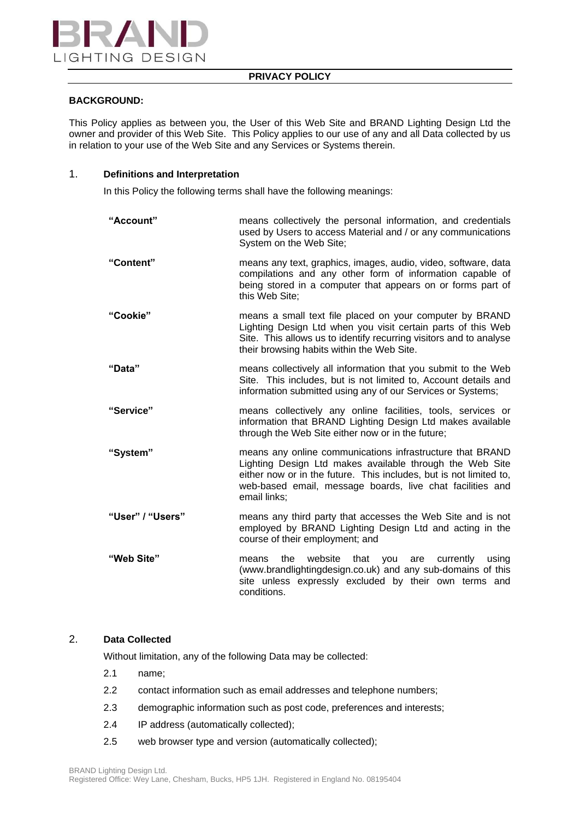

# **PRIVACY POLICY**

# **BACKGROUND:**

This Policy applies as between you, the User of this Web Site and BRAND Lighting Design Ltd the owner and provider of this Web Site. This Policy applies to our use of any and all Data collected by us in relation to your use of the Web Site and any Services or Systems therein.

## 1. **Definitions and Interpretation**

In this Policy the following terms shall have the following meanings:

| "Account"        | means collectively the personal information, and credentials<br>used by Users to access Material and / or any communications<br>System on the Web Site;                                                                                                                  |
|------------------|--------------------------------------------------------------------------------------------------------------------------------------------------------------------------------------------------------------------------------------------------------------------------|
| "Content"        | means any text, graphics, images, audio, video, software, data<br>compilations and any other form of information capable of<br>being stored in a computer that appears on or forms part of<br>this Web Site;                                                             |
| "Cookie"         | means a small text file placed on your computer by BRAND<br>Lighting Design Ltd when you visit certain parts of this Web<br>Site. This allows us to identify recurring visitors and to analyse<br>their browsing habits within the Web Site.                             |
| "Data"           | means collectively all information that you submit to the Web<br>Site. This includes, but is not limited to, Account details and<br>information submitted using any of our Services or Systems;                                                                          |
| "Service"        | means collectively any online facilities, tools, services or<br>information that BRAND Lighting Design Ltd makes available<br>through the Web Site either now or in the future;                                                                                          |
| "System"         | means any online communications infrastructure that BRAND<br>Lighting Design Ltd makes available through the Web Site<br>either now or in the future. This includes, but is not limited to,<br>web-based email, message boards, live chat facilities and<br>email links; |
| "User" / "Users" | means any third party that accesses the Web Site and is not<br>employed by BRAND Lighting Design Ltd and acting in the<br>course of their employment; and                                                                                                                |
| "Web Site"       | the<br>website that you<br>currently<br>using<br>means<br>are<br>(www.brandlightingdesign.co.uk) and any sub-domains of this<br>site unless expressly excluded by their own terms and<br>conditions.                                                                     |

# 2. **Data Collected**

Without limitation, any of the following Data may be collected:

- 2.1 name;
- 2.2 contact information such as email addresses and telephone numbers;
- 2.3 demographic information such as post code, preferences and interests;
- 2.4 IP address (automatically collected);
- 2.5 web browser type and version (automatically collected);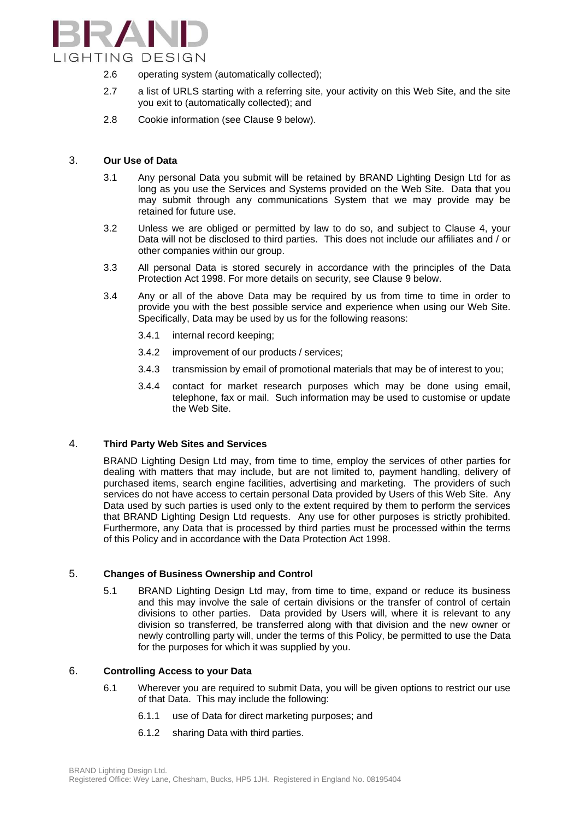

- 2.6 operating system (automatically collected);
- 2.7 a list of URLS starting with a referring site, your activity on this Web Site, and the site you exit to (automatically collected); and
- 2.8 Cookie information (see Clause 9 below).

## 3. **Our Use of Data**

- 3.1 Any personal Data you submit will be retained by BRAND Lighting Design Ltd for as long as you use the Services and Systems provided on the Web Site. Data that you may submit through any communications System that we may provide may be retained for future use.
- 3.2 Unless we are obliged or permitted by law to do so, and subject to Clause 4, your Data will not be disclosed to third parties. This does not include our affiliates and / or other companies within our group.
- 3.3 All personal Data is stored securely in accordance with the principles of the Data Protection Act 1998. For more details on security, see Clause 9 below.
- 3.4 Any or all of the above Data may be required by us from time to time in order to provide you with the best possible service and experience when using our Web Site. Specifically, Data may be used by us for the following reasons:
	- 3.4.1 internal record keeping;
	- 3.4.2 improvement of our products / services;
	- 3.4.3 transmission by email of promotional materials that may be of interest to you;
	- 3.4.4 contact for market research purposes which may be done using email, telephone, fax or mail. Such information may be used to customise or update the Web Site.

#### 4. **Third Party Web Sites and Services**

BRAND Lighting Design Ltd may, from time to time, employ the services of other parties for dealing with matters that may include, but are not limited to, payment handling, delivery of purchased items, search engine facilities, advertising and marketing. The providers of such services do not have access to certain personal Data provided by Users of this Web Site. Any Data used by such parties is used only to the extent required by them to perform the services that BRAND Lighting Design Ltd requests. Any use for other purposes is strictly prohibited. Furthermore, any Data that is processed by third parties must be processed within the terms of this Policy and in accordance with the Data Protection Act 1998.

## 5. **Changes of Business Ownership and Control**

5.1 BRAND Lighting Design Ltd may, from time to time, expand or reduce its business and this may involve the sale of certain divisions or the transfer of control of certain divisions to other parties. Data provided by Users will, where it is relevant to any division so transferred, be transferred along with that division and the new owner or newly controlling party will, under the terms of this Policy, be permitted to use the Data for the purposes for which it was supplied by you.

#### 6. **Controlling Access to your Data**

- 6.1 Wherever you are required to submit Data, you will be given options to restrict our use of that Data. This may include the following:
	- 6.1.1 use of Data for direct marketing purposes; and
	- 6.1.2 sharing Data with third parties.